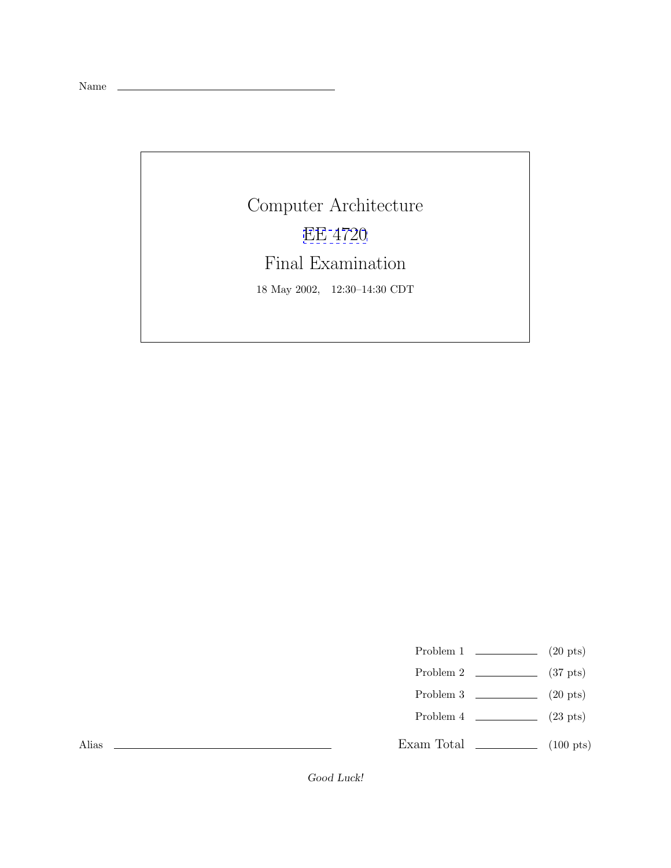Name

Computer Architecture [EE 4720](http://www.ece.lsu.edu/ee4720/) Final Examination 18 May 2002, 12:30–14:30 CDT

Problem 1  $\qquad \qquad (20 \text{ pts})$ 

- Problem 2  $\qquad \qquad$  (37 pts)
- Problem 3  $\qquad \qquad$  (20 pts)
- Problem  $4$  (23 pts)

Exam Total  $\qquad \qquad$  (100 pts)

Alias

Good Luck!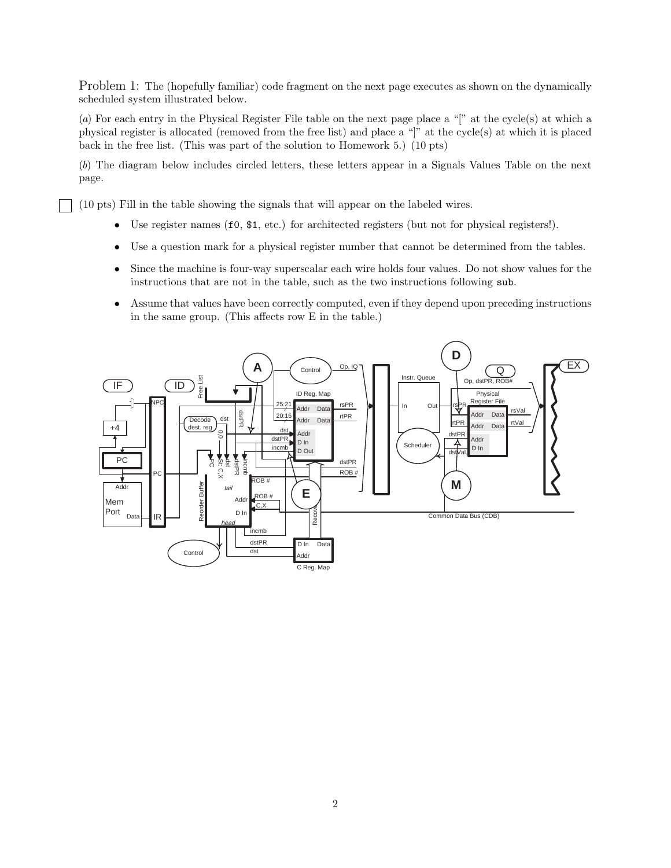Problem 1: The (hopefully familiar) code fragment on the next page executes as shown on the dynamically scheduled system illustrated below.

(*a*) For each entry in the Physical Register File table on the next page place a "[" at the cycle(s) at which a physical register is allocated (removed from the free list) and place a "]" at the cycle(s) at which it is placed back in the free list. (This was part of the solution to Homework 5.) (10 pts)

(*b*) The diagram below includes circled letters, these letters appear in a Signals Values Table on the next page.

(10 pts) Fill in the table showing the signals that will appear on the labeled wires.

- Use register names (f0,  $$1, etc.$ ) for architected registers (but not for physical registers!).
- Use a question mark for a physical register number that cannot be determined from the tables.
- Since the machine is four-way superscalar each wire holds four values. Do not show values for the instructions that are not in the table, such as the two instructions following sub.
- Assume that values have been correctly computed, even if they depend upon preceding instructions in the same group. (This affects row E in the table.)

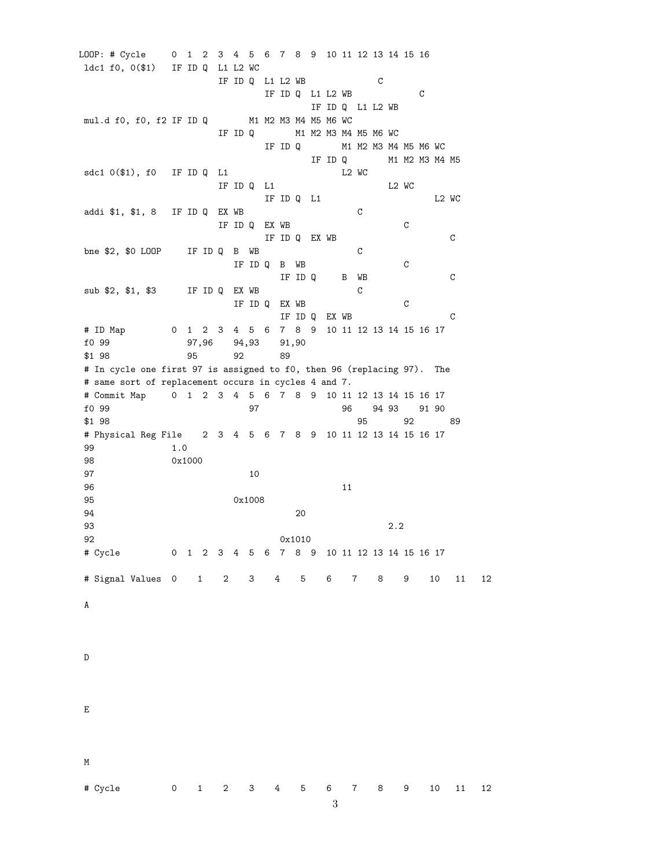LOOP: # Cycle 0 1 2 3 4 5 6 7 8 9 10 11 12 13 14 15 16 ldc1 f0, 0(\$1) IF ID Q L1 L2 WC IF ID Q L1 L2 WB C IF ID Q L1 L2 WB C IF ID Q L1 L2 WB mul.d f0, f0, f2 IF ID Q M1 M2 M3 M4 M5 M6 WC IF ID Q M1 M2 M3 M4 M5 M6 WC IF ID Q M1 M2 M3 M4 M5 M6 WC IF ID Q M1 M2 M3 M4 M5 sdc1 0(\$1), f0 IF ID Q L1 L2 WC IF ID Q  $L1$  L2 WC IF IDQ L1 L2 WC addi \$1, \$1, 8 IF ID Q EX WB C IF ID Q EX WB C IF ID Q EX WB C bne \$2, \$0 LOOP IF ID Q B WB C IF ID Q B WB C IF ID Q B WB C sub \$2, \$1, \$3 IF ID Q EX WB C IF ID Q EX WB C IF ID Q EX WB C # ID Map 0 1 2 3 4 5 6 7 8 9 10 11 12 13 14 15 16 17 f0 99 97,96 94,93 91,90 \$1 98 95 92 89 # In cycle one first 97 is assigned to f0, then 96 (replacing 97). The # same sort of replacement occurs in cycles 4 and 7. # Commit Map 0 1 2 3 4 5 6 7 8 9 10 11 12 13 14 15 16 17 f0 99 97 96 94 93 91 90 \$1 98 95 92 89 # Physical Reg File 2 3 4 5 6 7 8 9 10 11 12 13 14 15 16 17 99 1.0 98 0x1000 97 10  $96$  11 95 0x1008 94 20 93 2.2 92 0x1010 # Cycle 0 1 2 3 4 5 6 7 8 9 10 11 12 13 14 15 16 17 # Signal Values 0 1 2 3 4 5 6 7 8 9 10 11 12 A D E M # Cycle 0 1 2 3 4 5 6 7 8 9 10 11 12 3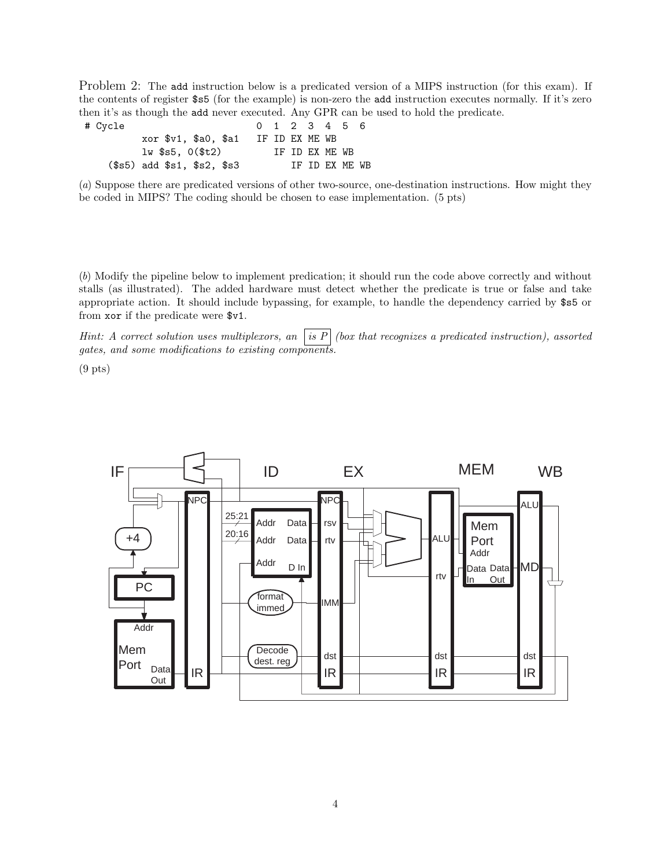Problem 2: The add instruction below is a predicated version of a MIPS instruction (for this exam). If the contents of register \$s5 (for the example) is non-zero the add instruction executes normally. If it's zero then it's as though the add never executed. Any GPR can be used to hold the predicate.

| # Cycle                     | 0 1 2 3 4 5 6  |  |                |                 |  |
|-----------------------------|----------------|--|----------------|-----------------|--|
| xor \$v1, \$a0, \$a1        | IF ID EX ME WB |  |                |                 |  |
| $1w$ \$s5, $0$ (\$t2)       |                |  | TF TD FX MF WB |                 |  |
| $($s5)$ add $$s1, $s2, $s3$ |                |  |                | TF TD FX MF. WB |  |

(*a*) Suppose there are predicated versions of other two-source, one-destination instructions. How might they be coded in MIPS? The coding should be chosen to ease implementation. (5 pts)

(*b*) Modify the pipeline below to implement predication; it should run the code above correctly and without stalls (as illustrated). The added hardware must detect whether the predicate is true or false and take appropriate action. It should include bypassing, for example, to handle the dependency carried by \$s5 or from xor if the predicate were \$v1.

*Hint: A correct solution uses multiplexors, an is P (box that recognizes a predicated instruction), assorted gates, and some modifications to existing components.*

 $(9$  pts)

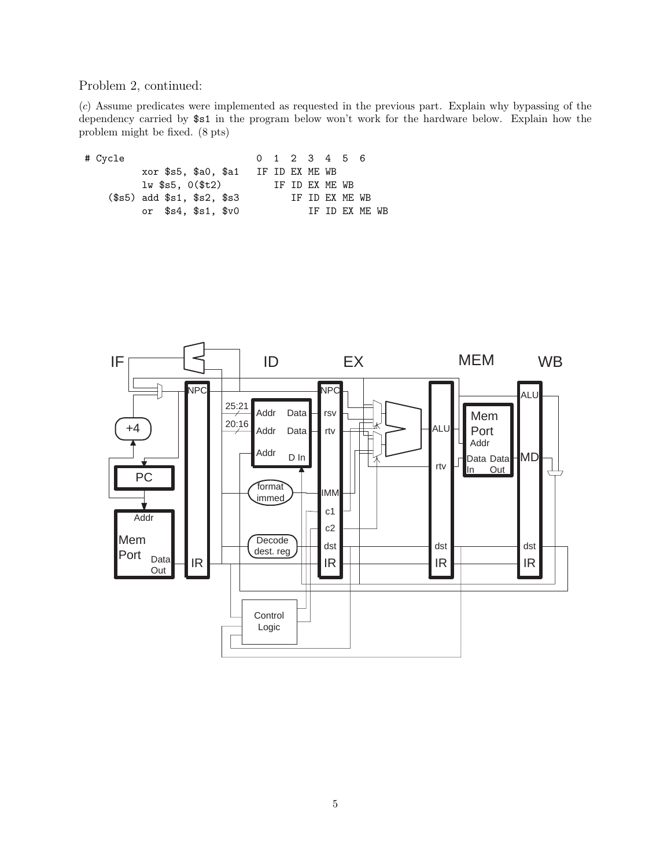## Problem 2, continued:

(*c*) Assume predicates were implemented as requested in the previous part. Explain why bypassing of the dependency carried by \$s1 in the program below won't work for the hardware below. Explain how the problem might be fixed. (8 pts)

| # Cycle                     |  |                      | $0 \t1 \t2 \t3 \t4 \t5 \t6$ |                 |                 |                |  |
|-----------------------------|--|----------------------|-----------------------------|-----------------|-----------------|----------------|--|
|                             |  | xor \$s5, \$a0, \$a1 | IF ID EX ME WB              |                 |                 |                |  |
|                             |  | $1w$ $$s5.0($t2)$    |                             | IF ID FX MF. WB |                 |                |  |
| $($s5)$ add $$s1, $s2, $s3$ |  |                      |                             |                 | TF TD FX MF. WB |                |  |
|                             |  | or $$s4, $s1, $v0$   |                             |                 |                 | IF ID EX ME WB |  |
|                             |  |                      |                             |                 |                 |                |  |

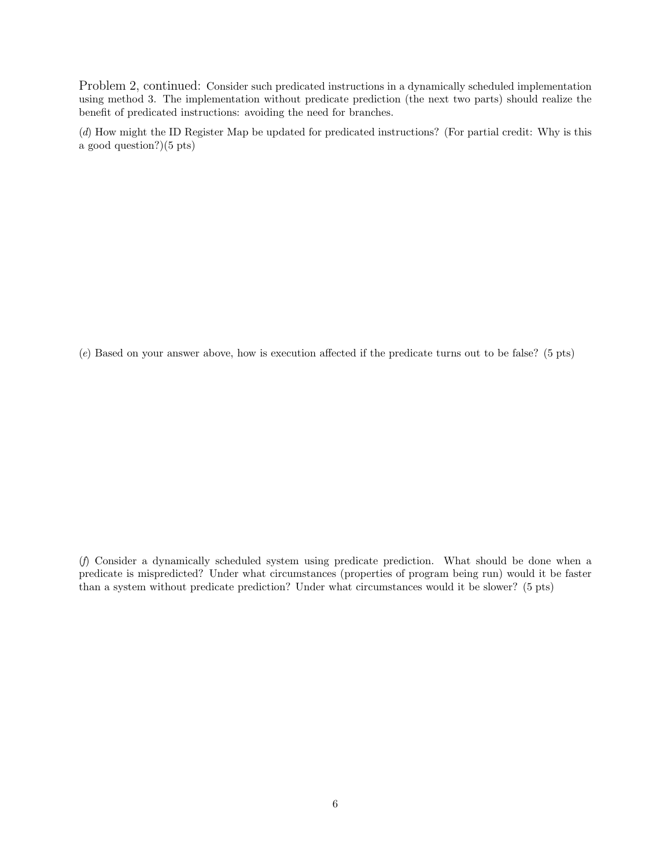Problem 2, continued: Consider such predicated instructions in a dynamically scheduled implementation using method 3. The implementation without predicate prediction (the next two parts) should realize the benefit of predicated instructions: avoiding the need for branches.

(*d*) How might the ID Register Map be updated for predicated instructions? (For partial credit: Why is this a good question?)(5 pts)

(*e*) Based on your answer above, how is execution affected if the predicate turns out to be false? (5 pts)

(*f*) Consider a dynamically scheduled system using predicate prediction. What should be done when a predicate is mispredicted? Under what circumstances (properties of program being run) would it be faster than a system without predicate prediction? Under what circumstances would it be slower? (5 pts)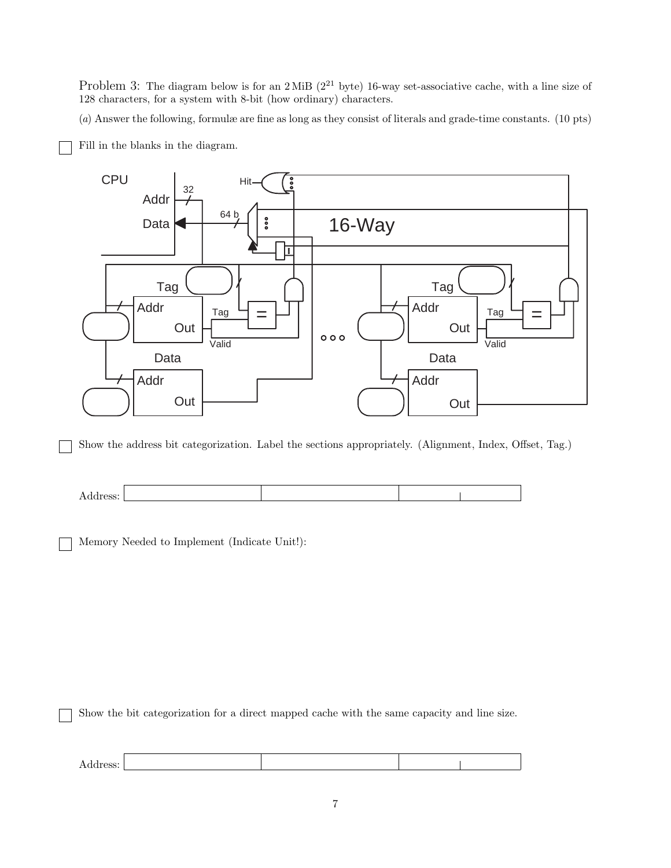Problem 3: The diagram below is for an  $2$  MiB ( $2^{21}$  byte) 16-way set-associative cache, with a line size of 128 characters, for a system with 8-bit (how ordinary) characters.

(*a*) Answer the following, formulæ are fine as long as they consist of literals and grade-time constants. (10 pts)

Fill in the blanks in the diagram.



Show the address bit categorization. Label the sections appropriately. (Alignment, Index, Offset, Tag.)



Memory Needed to Implement (Indicate Unit!):

Show the bit categorization for a direct mapped cache with the same capacity and line size.

| $\mathbf{v}$<br>COOC<br>Audiess.<br>--- |  |  |
|-----------------------------------------|--|--|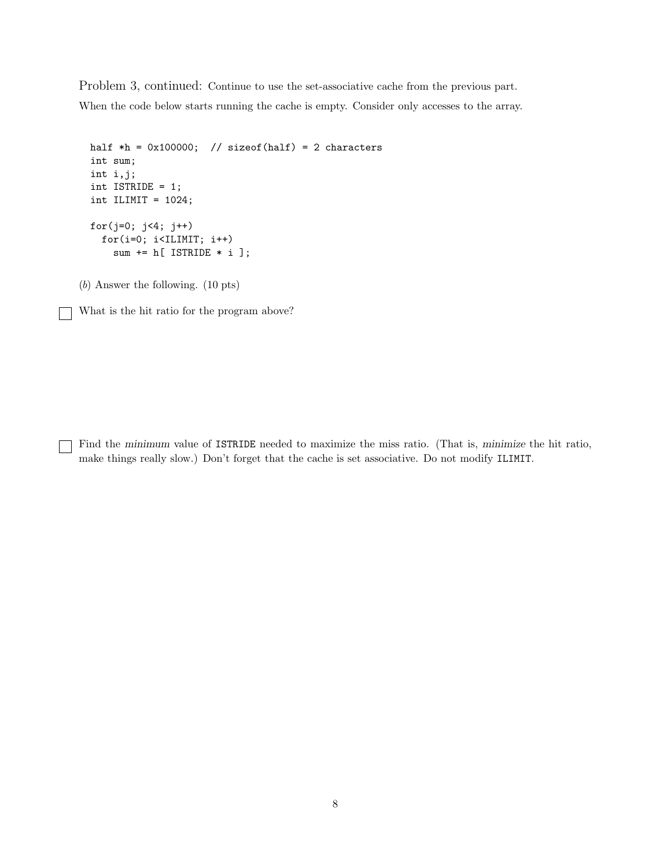Problem 3, continued: Continue to use the set-associative cache from the previous part. When the code below starts running the cache is empty. Consider only accesses to the array.

```
half *h = 0x100000; // sizeof(half) = 2 characters
int sum;
int i,j;
int ISTRIDE = 1;
int ILIMIT = 1024;
for(j=0; j<4; j++)
  for(i=0; i<ILIMIT; i++)
    sum += h[ ISTRIDE * i ];
```
(*b*) Answer the following. (10 pts)

What is the hit ratio for the program above?

Find the minimum value of ISTRIDE needed to maximize the miss ratio. (That is, minimize the hit ratio, make things really slow.) Don't forget that the cache is set associative. Do not modify ILIMIT.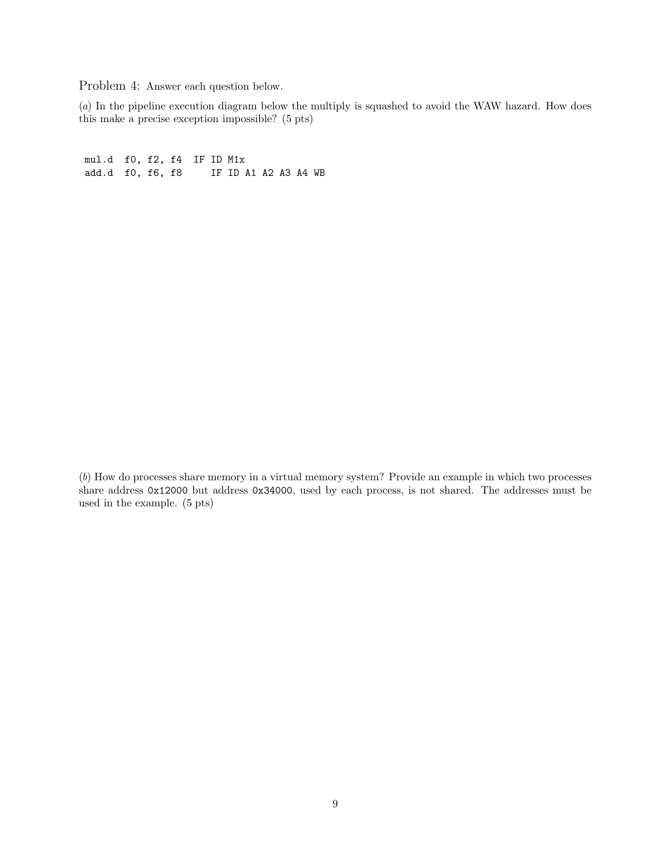Problem 4: Answer each question below.

(*a*) In the pipeline execution diagram below the multiply is squashed to avoid the WAW hazard. How does this make a precise exception impossible? (5 pts)

mul.d f0, f2, f4 IF ID M1x<br>add.d f0, f6, f8 IF ID A IF ID A1 A2 A3 A4 WB

(*b*) How do processes share memory in a virtual memory system? Provide an example in which two processes share address 0x12000 but address 0x34000, used by each process, is not shared. The addresses must be used in the example. (5 pts)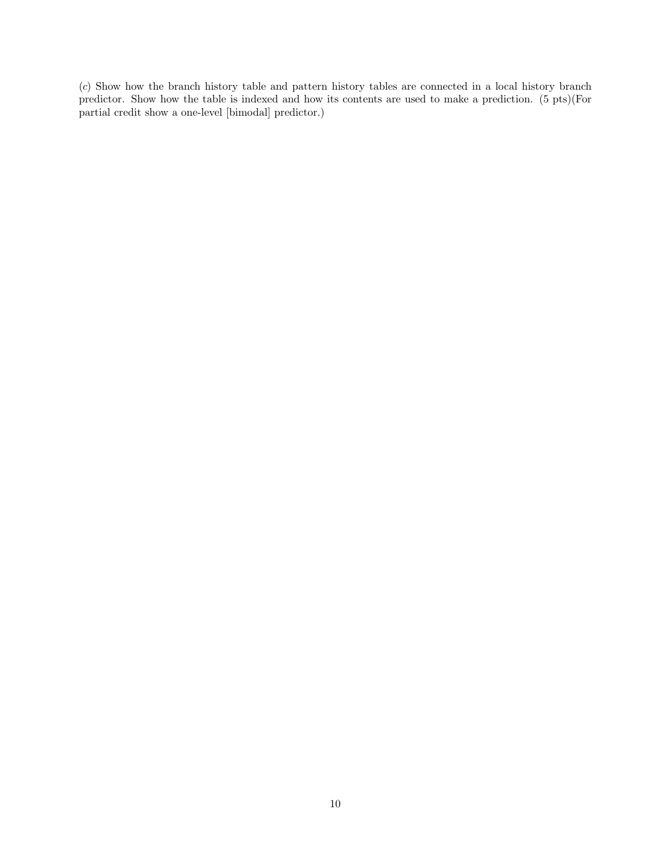(*c*) Show how the branch history table and pattern history tables are connected in a local history branch predictor. Show how the table is indexed and how its contents are used to make a prediction. (5 pts)(For partial credit show a one-level [bimodal] predictor.)